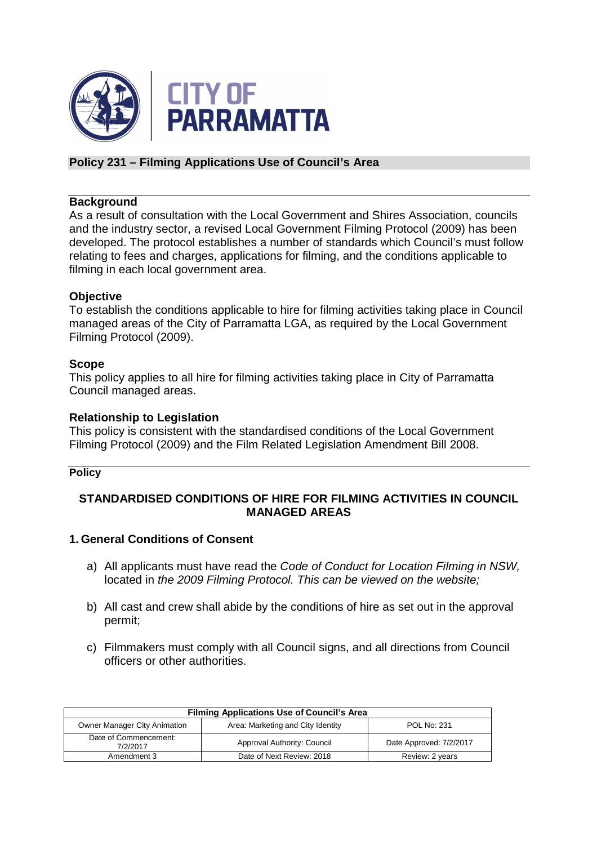

## **Policy 231 – Filming Applications Use of Council's Area**

### **Background**

As a result of consultation with the Local Government and Shires Association, councils and the industry sector, a revised Local Government Filming Protocol (2009) has been developed. The protocol establishes a number of standards which Council's must follow relating to fees and charges, applications for filming, and the conditions applicable to filming in each local government area.

### **Objective**

To establish the conditions applicable to hire for filming activities taking place in Council managed areas of the City of Parramatta LGA, as required by the Local Government Filming Protocol (2009).

#### **Scope**

This policy applies to all hire for filming activities taking place in City of Parramatta Council managed areas.

### **Relationship to Legislation**

This policy is consistent with the standardised conditions of the Local Government Filming Protocol (2009) and the Film Related Legislation Amendment Bill 2008.

#### **Policy**

## **STANDARDISED CONDITIONS OF HIRE FOR FILMING ACTIVITIES IN COUNCIL MANAGED AREAS**

### **1. General Conditions of Consent**

- a) All applicants must have read the Code of Conduct for Location Filming in NSW, located in the 2009 Filming Protocol. This can be viewed on the website;
- b) All cast and crew shall abide by the conditions of hire as set out in the approval permit;
- c) Filmmakers must comply with all Council signs, and all directions from Council officers or other authorities.

| <b>Filming Applications Use of Council's Area</b> |                                   |                         |
|---------------------------------------------------|-----------------------------------|-------------------------|
| Owner Manager City Animation                      | Area: Marketing and City Identity | <b>POL No: 231</b>      |
| Date of Commencement:<br>7/2/2017                 | Approval Authority: Council       | Date Approved: 7/2/2017 |
| Amendment 3                                       | Date of Next Review: 2018         | Review: 2 years         |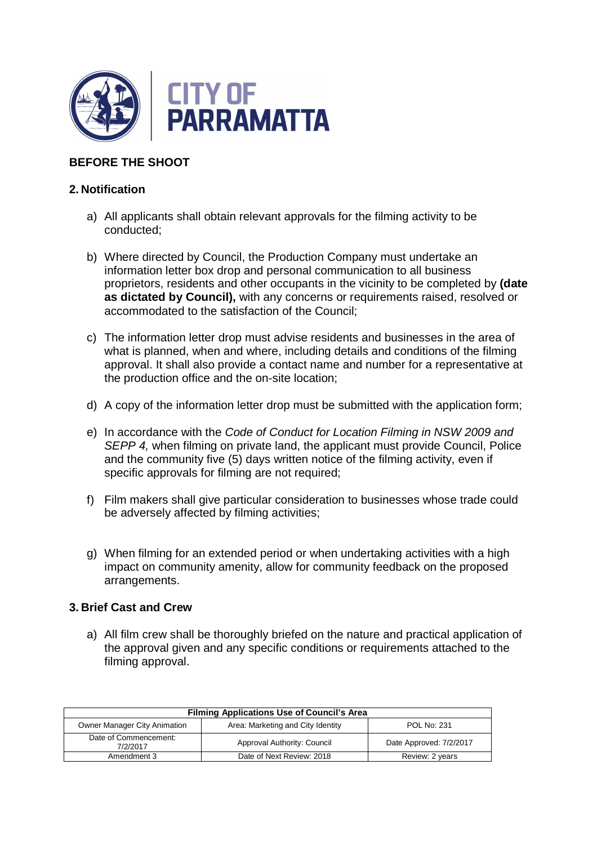

# **BEFORE THE SHOOT**

## **2. Notification**

- a) All applicants shall obtain relevant approvals for the filming activity to be conducted;
- b) Where directed by Council, the Production Company must undertake an information letter box drop and personal communication to all business proprietors, residents and other occupants in the vicinity to be completed by **(date as dictated by Council),** with any concerns or requirements raised, resolved or accommodated to the satisfaction of the Council;
- c) The information letter drop must advise residents and businesses in the area of what is planned, when and where, including details and conditions of the filming approval. It shall also provide a contact name and number for a representative at the production office and the on-site location;
- d) A copy of the information letter drop must be submitted with the application form;
- e) In accordance with the Code of Conduct for Location Filming in NSW 2009 and SEPP 4, when filming on private land, the applicant must provide Council, Police and the community five (5) days written notice of the filming activity, even if specific approvals for filming are not required;
- f) Film makers shall give particular consideration to businesses whose trade could be adversely affected by filming activities;
- g) When filming for an extended period or when undertaking activities with a high impact on community amenity, allow for community feedback on the proposed arrangements.

### **3. Brief Cast and Crew**

a) All film crew shall be thoroughly briefed on the nature and practical application of the approval given and any specific conditions or requirements attached to the filming approval.

| <b>Filming Applications Use of Council's Area</b> |                                   |                         |
|---------------------------------------------------|-----------------------------------|-------------------------|
| Owner Manager City Animation                      | Area: Marketing and City Identity | <b>POL No: 231</b>      |
| Date of Commencement:<br>7/2/2017                 | Approval Authority: Council       | Date Approved: 7/2/2017 |
| Amendment 3                                       | Date of Next Review: 2018         | Review: 2 years         |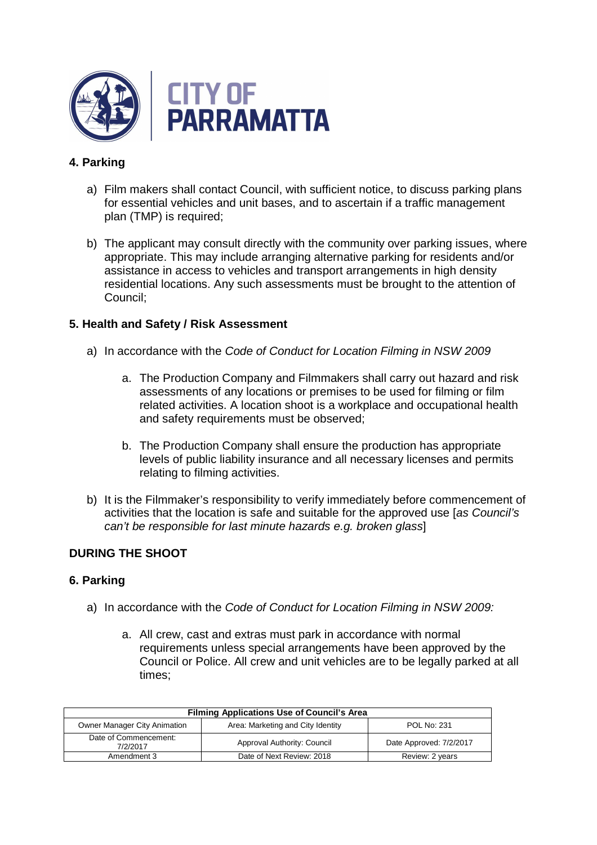

# **4. Parking**

- a) Film makers shall contact Council, with sufficient notice, to discuss parking plans for essential vehicles and unit bases, and to ascertain if a traffic management plan (TMP) is required;
- b) The applicant may consult directly with the community over parking issues, where appropriate. This may include arranging alternative parking for residents and/or assistance in access to vehicles and transport arrangements in high density residential locations. Any such assessments must be brought to the attention of Council;

## **5. Health and Safety / Risk Assessment**

- a) In accordance with the Code of Conduct for Location Filming in NSW 2009
	- a. The Production Company and Filmmakers shall carry out hazard and risk assessments of any locations or premises to be used for filming or film related activities. A location shoot is a workplace and occupational health and safety requirements must be observed;
	- b. The Production Company shall ensure the production has appropriate levels of public liability insurance and all necessary licenses and permits relating to filming activities.
- b) It is the Filmmaker's responsibility to verify immediately before commencement of activities that the location is safe and suitable for the approved use [as Council's can't be responsible for last minute hazards e.g. broken glass]

## **DURING THE SHOOT**

### **6. Parking**

- a) In accordance with the Code of Conduct for Location Filming in NSW 2009:
	- a. All crew, cast and extras must park in accordance with normal requirements unless special arrangements have been approved by the Council or Police. All crew and unit vehicles are to be legally parked at all times;

| <b>Filming Applications Use of Council's Area</b> |                                   |                         |
|---------------------------------------------------|-----------------------------------|-------------------------|
| Owner Manager City Animation                      | Area: Marketing and City Identity | <b>POL No: 231</b>      |
| Date of Commencement:<br>7/2/2017                 | Approval Authority: Council       | Date Approved: 7/2/2017 |
| Amendment 3                                       | Date of Next Review: 2018         | Review: 2 years         |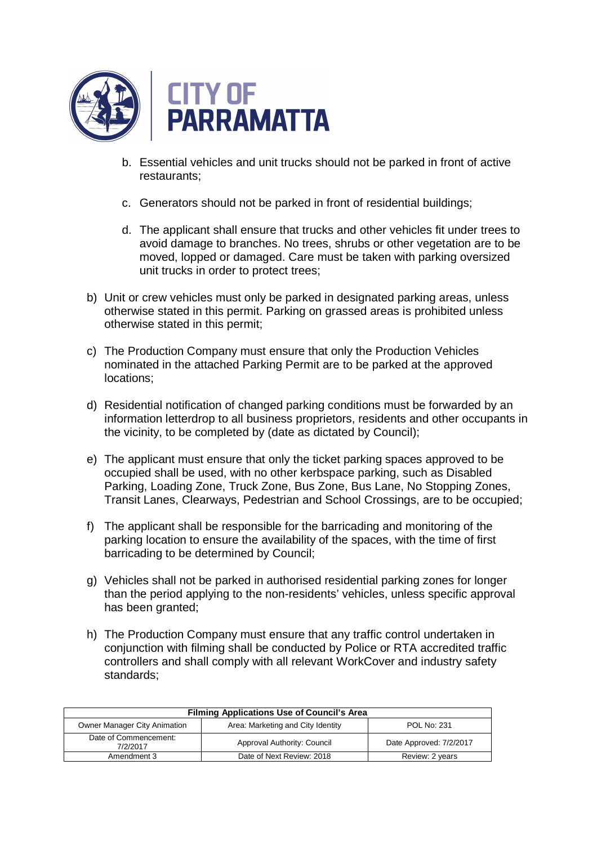

- b. Essential vehicles and unit trucks should not be parked in front of active restaurants;
- c. Generators should not be parked in front of residential buildings;
- d. The applicant shall ensure that trucks and other vehicles fit under trees to avoid damage to branches. No trees, shrubs or other vegetation are to be moved, lopped or damaged. Care must be taken with parking oversized unit trucks in order to protect trees;
- b) Unit or crew vehicles must only be parked in designated parking areas, unless otherwise stated in this permit. Parking on grassed areas is prohibited unless otherwise stated in this permit;
- c) The Production Company must ensure that only the Production Vehicles nominated in the attached Parking Permit are to be parked at the approved locations;
- d) Residential notification of changed parking conditions must be forwarded by an information letterdrop to all business proprietors, residents and other occupants in the vicinity, to be completed by (date as dictated by Council);
- e) The applicant must ensure that only the ticket parking spaces approved to be occupied shall be used, with no other kerbspace parking, such as Disabled Parking, Loading Zone, Truck Zone, Bus Zone, Bus Lane, No Stopping Zones, Transit Lanes, Clearways, Pedestrian and School Crossings, are to be occupied;
- f) The applicant shall be responsible for the barricading and monitoring of the parking location to ensure the availability of the spaces, with the time of first barricading to be determined by Council;
- g) Vehicles shall not be parked in authorised residential parking zones for longer than the period applying to the non-residents' vehicles, unless specific approval has been granted;
- h) The Production Company must ensure that any traffic control undertaken in conjunction with filming shall be conducted by Police or RTA accredited traffic controllers and shall comply with all relevant WorkCover and industry safety standards;

| <b>Filming Applications Use of Council's Area</b> |                                   |                         |
|---------------------------------------------------|-----------------------------------|-------------------------|
| Owner Manager City Animation                      | Area: Marketing and City Identity | <b>POL No: 231</b>      |
| Date of Commencement:<br>7/2/2017                 | Approval Authority: Council       | Date Approved: 7/2/2017 |
| Amendment 3                                       | Date of Next Review: 2018         | Review: 2 years         |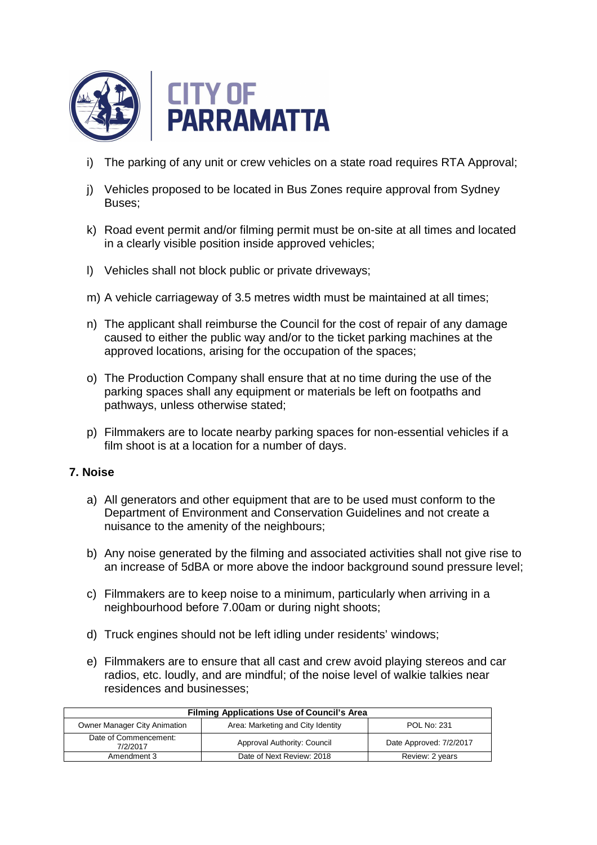

- i) The parking of any unit or crew vehicles on a state road requires RTA Approval:
- j) Vehicles proposed to be located in Bus Zones require approval from Sydney Buses;
- k) Road event permit and/or filming permit must be on-site at all times and located in a clearly visible position inside approved vehicles;
- l) Vehicles shall not block public or private driveways;
- m) A vehicle carriageway of 3.5 metres width must be maintained at all times;
- n) The applicant shall reimburse the Council for the cost of repair of any damage caused to either the public way and/or to the ticket parking machines at the approved locations, arising for the occupation of the spaces;
- o) The Production Company shall ensure that at no time during the use of the parking spaces shall any equipment or materials be left on footpaths and pathways, unless otherwise stated;
- p) Filmmakers are to locate nearby parking spaces for non-essential vehicles if a film shoot is at a location for a number of days.

## **7. Noise**

- a) All generators and other equipment that are to be used must conform to the Department of Environment and Conservation Guidelines and not create a nuisance to the amenity of the neighbours;
- b) Any noise generated by the filming and associated activities shall not give rise to an increase of 5dBA or more above the indoor background sound pressure level;
- c) Filmmakers are to keep noise to a minimum, particularly when arriving in a neighbourhood before 7.00am or during night shoots;
- d) Truck engines should not be left idling under residents' windows;
- e) Filmmakers are to ensure that all cast and crew avoid playing stereos and car radios, etc. loudly, and are mindful; of the noise level of walkie talkies near residences and businesses;

| <b>Filming Applications Use of Council's Area</b> |                                   |                         |
|---------------------------------------------------|-----------------------------------|-------------------------|
| Owner Manager City Animation                      | Area: Marketing and City Identity | <b>POL No: 231</b>      |
| Date of Commencement:<br>7/2/2017                 | Approval Authority: Council       | Date Approved: 7/2/2017 |
| Amendment 3                                       | Date of Next Review: 2018         | Review: 2 years         |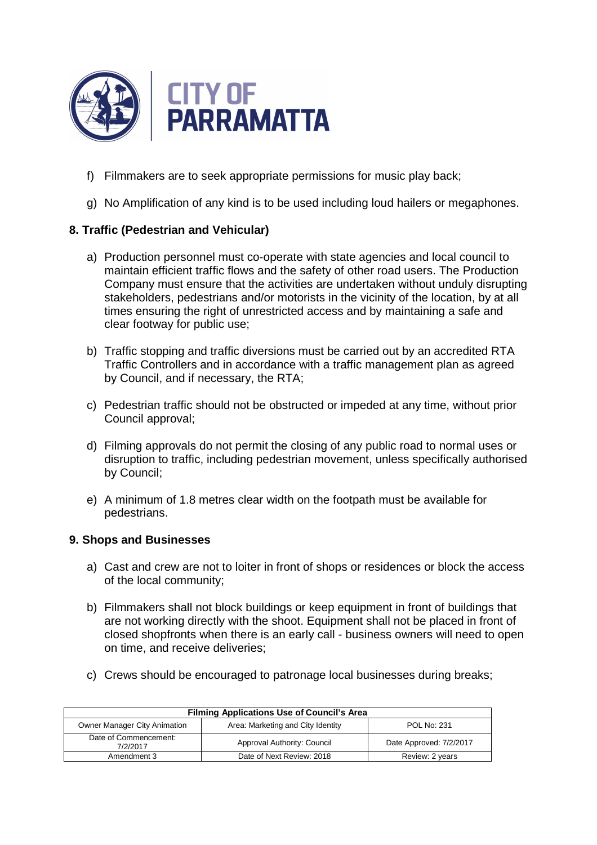

- f) Filmmakers are to seek appropriate permissions for music play back;
- g) No Amplification of any kind is to be used including loud hailers or megaphones.

# **8. Traffic (Pedestrian and Vehicular)**

- a) Production personnel must co-operate with state agencies and local council to maintain efficient traffic flows and the safety of other road users. The Production Company must ensure that the activities are undertaken without unduly disrupting stakeholders, pedestrians and/or motorists in the vicinity of the location, by at all times ensuring the right of unrestricted access and by maintaining a safe and clear footway for public use;
- b) Traffic stopping and traffic diversions must be carried out by an accredited RTA Traffic Controllers and in accordance with a traffic management plan as agreed by Council, and if necessary, the RTA;
- c) Pedestrian traffic should not be obstructed or impeded at any time, without prior Council approval;
- d) Filming approvals do not permit the closing of any public road to normal uses or disruption to traffic, including pedestrian movement, unless specifically authorised by Council;
- e) A minimum of 1.8 metres clear width on the footpath must be available for pedestrians.

## **9. Shops and Businesses**

- a) Cast and crew are not to loiter in front of shops or residences or block the access of the local community;
- b) Filmmakers shall not block buildings or keep equipment in front of buildings that are not working directly with the shoot. Equipment shall not be placed in front of closed shopfronts when there is an early call - business owners will need to open on time, and receive deliveries;
- c) Crews should be encouraged to patronage local businesses during breaks;

| <b>Filming Applications Use of Council's Area</b> |                                   |                         |
|---------------------------------------------------|-----------------------------------|-------------------------|
| Owner Manager City Animation                      | Area: Marketing and City Identity | <b>POL No: 231</b>      |
| Date of Commencement:<br>7/2/2017                 | Approval Authority: Council       | Date Approved: 7/2/2017 |
| Amendment 3                                       | Date of Next Review: 2018         | Review: 2 years         |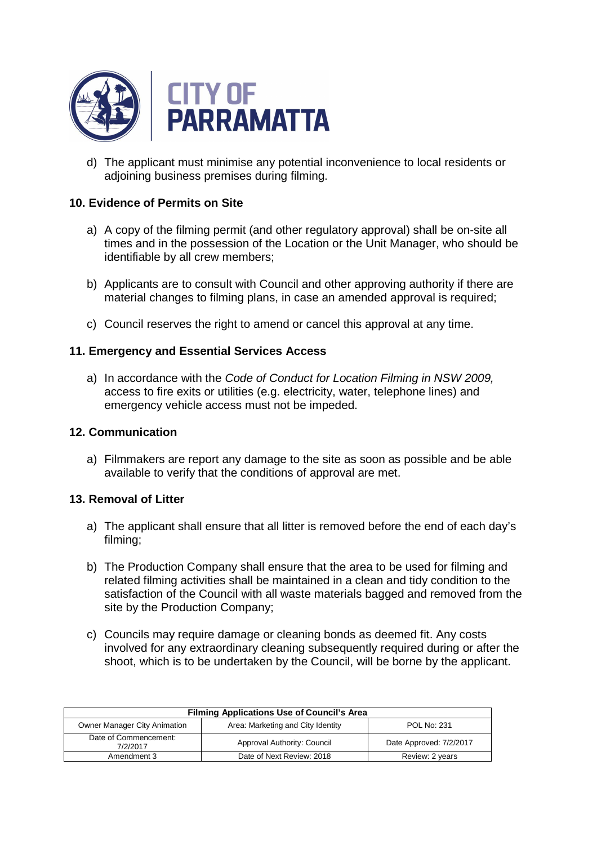

d) The applicant must minimise any potential inconvenience to local residents or adioining business premises during filming.

## **10. Evidence of Permits on Site**

- a) A copy of the filming permit (and other regulatory approval) shall be on-site all times and in the possession of the Location or the Unit Manager, who should be identifiable by all crew members;
- b) Applicants are to consult with Council and other approving authority if there are material changes to filming plans, in case an amended approval is required;
- c) Council reserves the right to amend or cancel this approval at any time.

## **11. Emergency and Essential Services Access**

a) In accordance with the Code of Conduct for Location Filming in NSW 2009, access to fire exits or utilities (e.g. electricity, water, telephone lines) and emergency vehicle access must not be impeded.

### **12. Communication**

a) Filmmakers are report any damage to the site as soon as possible and be able available to verify that the conditions of approval are met.

### **13. Removal of Litter**

- a) The applicant shall ensure that all litter is removed before the end of each day's filming;
- b) The Production Company shall ensure that the area to be used for filming and related filming activities shall be maintained in a clean and tidy condition to the satisfaction of the Council with all waste materials bagged and removed from the site by the Production Company;
- c) Councils may require damage or cleaning bonds as deemed fit. Any costs involved for any extraordinary cleaning subsequently required during or after the shoot, which is to be undertaken by the Council, will be borne by the applicant.

| <b>Filming Applications Use of Council's Area</b> |                                   |                         |
|---------------------------------------------------|-----------------------------------|-------------------------|
| Owner Manager City Animation                      | Area: Marketing and City Identity | <b>POL No: 231</b>      |
| Date of Commencement:<br>7/2/2017                 | Approval Authority: Council       | Date Approved: 7/2/2017 |
| Amendment 3                                       | Date of Next Review: 2018         | Review: 2 years         |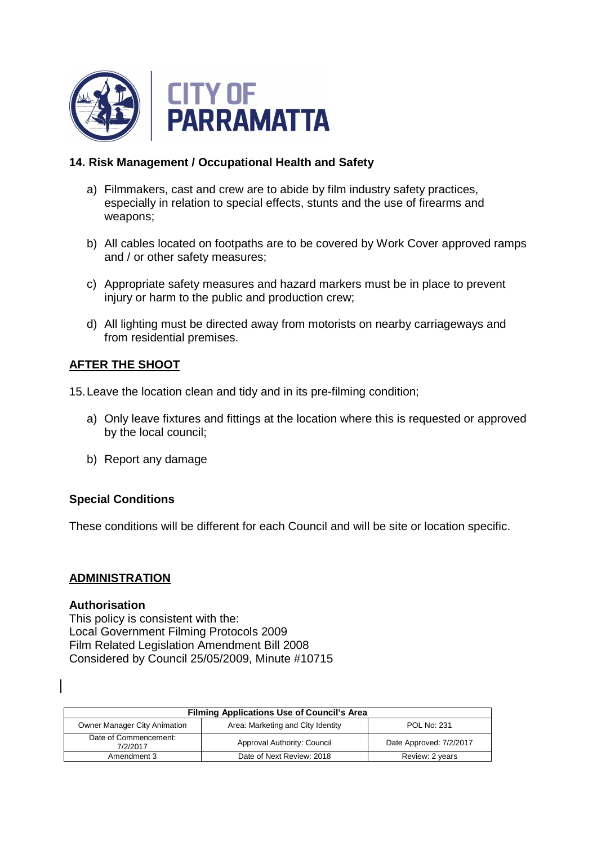

## **14. Risk Management / Occupational Health and Safety**

- a) Filmmakers, cast and crew are to abide by film industry safety practices, especially in relation to special effects, stunts and the use of firearms and weapons;
- b) All cables located on footpaths are to be covered by Work Cover approved ramps and / or other safety measures;
- c) Appropriate safety measures and hazard markers must be in place to prevent injury or harm to the public and production crew;
- d) All lighting must be directed away from motorists on nearby carriageways and from residential premises.

## **AFTER THE SHOOT**

15. Leave the location clean and tidy and in its pre-filming condition;

- a) Only leave fixtures and fittings at the location where this is requested or approved by the local council;
- b) Report any damage

### **Special Conditions**

These conditions will be different for each Council and will be site or location specific.

### **ADMINISTRATION**

#### **Authorisation**

This policy is consistent with the: Local Government Filming Protocols 2009 Film Related Legislation Amendment Bill 2008 Considered by Council 25/05/2009, Minute #10715

| <b>Filming Applications Use of Council's Area</b> |                                   |                         |
|---------------------------------------------------|-----------------------------------|-------------------------|
| Owner Manager City Animation                      | Area: Marketing and City Identity | <b>POL No: 231</b>      |
| Date of Commencement:<br>7/2/2017                 | Approval Authority: Council       | Date Approved: 7/2/2017 |
| Amendment 3                                       | Date of Next Review: 2018         | Review: 2 years         |